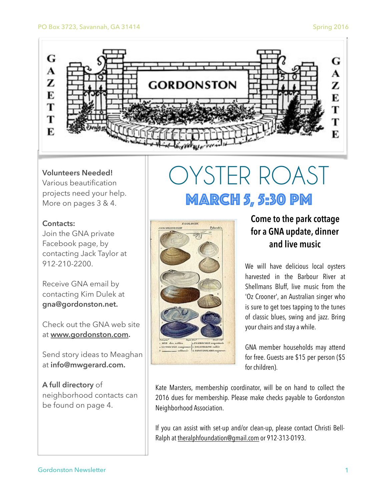

#### **Volunteers Needed!**

Various beautification projects need your help. More on pages 3 & 4.

#### **Contacts:**

Join the GNA private Facebook page, by contacting Jack Taylor at 912-210-2200.

Receive GNA email by contacting Kim Dulek at **gna@gordonston.net.** 

Check out the GNA web site at **[www.gordonston.com](http://www.gordonston.com).** 

Send story ideas to Meaghan at **info@mwgerard.com.** 

**A full directory** of neighborhood contacts can be found on page 4.

## OYSTER ROAST MARCH 5, 5:30 pm



### **Come to the park cottage for a GNA update, dinner and live music**

We will have delicious local oysters harvested in the Barbour River at Shellmans Bluff, live music from the 'Oz Crooner', an Australian singer who is sure to get toes tapping to the tunes of classic blues, swing and jazz. Bring your chairs and stay a while.

GNA member households may attend for free. Guests are \$15 per person (\$5 for children).

Kate Marsters, membership coordinator, will be on hand to collect the 2016 dues for membership. Please make checks payable to Gordonston Neighborhood Association.

If you can assist with set-up and/or clean-up, please contact Christi Bell-Ralph at theralphfoundation@gmail.com or 912-313-0193.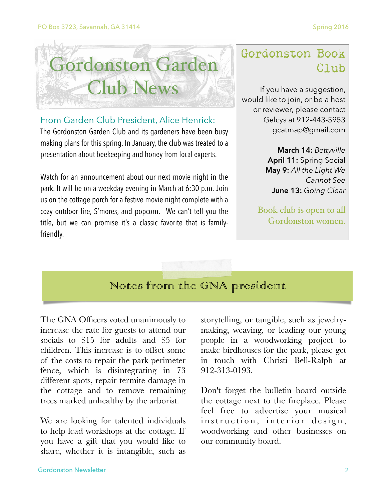

From Garden Club President, Alice Henrick:

The Gordonston Garden Club and its gardeners have been busy making plans for this spring. In January, the club was treated to a presentation about beekeeping and honey from local experts.

Watch for an announcement about our next movie night in the park. It will be on a weekday evening in March at 6:30 p.m. Join us on the cottage porch for a festive movie night complete with a cozy outdoor fire, S'mores, and popcorn. We can't tell you the title, but we can promise it's a classic favorite that is familyfriendly.

## Gordonston Book Club

If you have a suggestion, would like to join, or be a host or reviewer, please contact Gelcys at 912-443-5953 gcatmap@gmail.com

> **March 14:** *Bettyville* **April 11:** Spring Social **May 9:** *All the Light We Cannot See* **June 13:** *Going Clear*

Book club is open to all Gordonston women.

## Notes from the GNA president

The GNA Officers voted unanimously to increase the rate for guests to attend our socials to \$15 for adults and \$5 for children. This increase is to offset some of the costs to repair the park perimeter fence, which is disintegrating in 73 different spots, repair termite damage in the cottage and to remove remaining trees marked unhealthy by the arborist.

We are looking for talented individuals to help lead workshops at the cottage. If you have a gift that you would like to share, whether it is intangible, such as

storytelling, or tangible, such as jewelrymaking, weaving, or leading our young people in a woodworking project to make birdhouses for the park, please get in touch with Christi Bell-Ralph at 912-313-0193.

Don't forget the bulletin board outside the cottage next to the fireplace. Please feel free to advertise your musical instruction, interior design, woodworking and other businesses on our community board.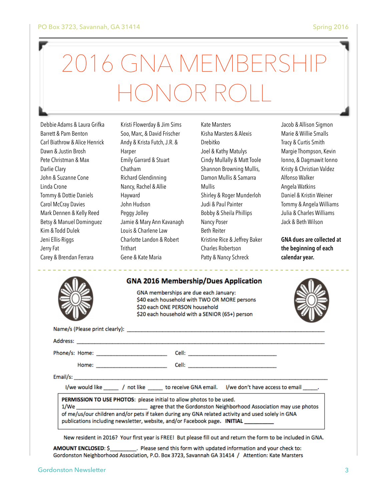# VA MEMBE HONOR ROLL

Debbie Adams & Laura Grifka Barrett & Pam Benton Carl Biathrow & Alice Henrick Dawn & Justin Brosh Pete Christman & Max Darlie Clary John & Suzanne Cone Linda Crone Tommy & Dottie Daniels Carol McCray Davies Mark Dennen & Kelly Reed Betsy & Manuel Dominguez Kim & Todd Dulek Jeni Ellis-Riggs Jerry Fat Carey & Brendan Ferrara

Kristi Flowerday & Jim Sims Soo, Marc, & David Frischer Andy & Krista Futch, J.R. & Harper Emily Garrard & Stuart Chatham Richard Glendinning Nancy, Rachel & Allie Hayward John Hudson Peggy Jolley Jamie & Mary Ann Kavanagh Louis & Charlene Law Charlotte Landon & Robert **Trithart** Gene & Kate Maria

Kate Marsters Kisha Marsters & Alexis Drebitko Joel & Kathy Matulys Cindy Mullally & Matt Toole Shannon Browning Mullis, Damon Mullis & Samarra Mullis Shirley & Roger Munderloh Judi & Paul Painter Bobby & Sheila Phillips Nancy Poser Beth Reiter Kristine Rice & Jeffrey Baker Charles Robertson Patty & Nancy Schreck

Jacob & Allison Sigmon Marie & Willie Smalls Tracy & Curtis Smith Margie Thompson, Kevin Ionno, & Dagmawit Ionno Kristy & Christian Valdez Alfonso Walker Angela Watkins Daniel & Kristin Weiner Tommy & Angela Williams Julia & Charles Williams Jack & Beth Wilson

**GNA dues are collected at the beginning of each calendar year.**

#### **GNA 2016 Membership/Dues Application**

GNA memberships are due each January: \$40 each household with TWO OR MORE persons \$20 each ONE PERSON household \$20 each household with a SENIOR (65+) person



|                                                                                                                                                                           | I/we would like _____ / not like ______ to receive GNA email. I/we don't have access to email ______. |
|---------------------------------------------------------------------------------------------------------------------------------------------------------------------------|-------------------------------------------------------------------------------------------------------|
| PERMISSION TO USE PHOTOS: please initial to allow photos to be used.<br>of me/us/our children and/or pets if taken during any GNA related activity and used solely in GNA |                                                                                                       |

publications including newsletter, website, and/or Facebook page. INITIAL

New resident in 2016? Your first year is FREE! But please fill out and return the form to be included in GNA.

. Please send this form with updated information and your check to: AMOUNT ENCLOSED: \$ Gordonston Neighborhood Association, P.O. Box 3723, Savannah GA 31414 / Attention: Kate Marsters